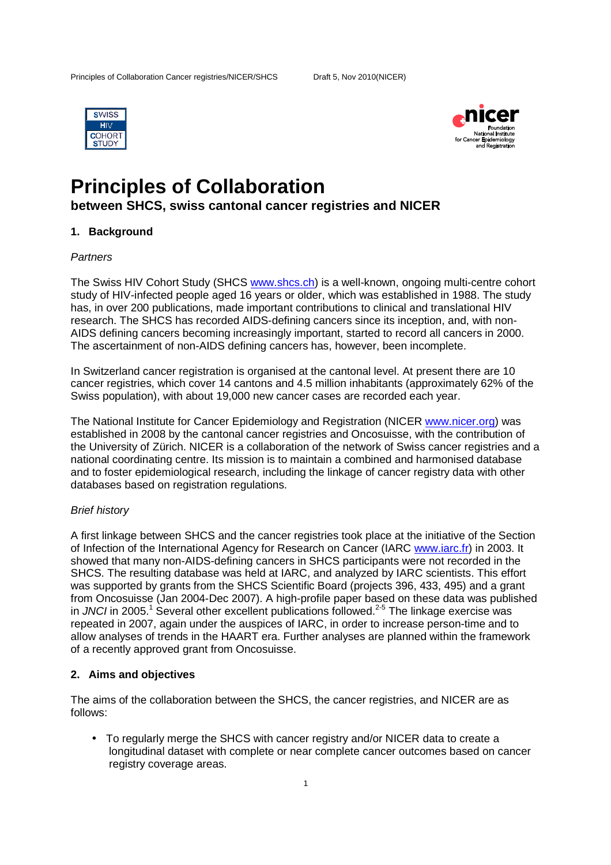



# **Principles of Collaboration**

## **between SHCS, swiss cantonal cancer registries and NICER**

## **1. Background**

## **Partners**

The Swiss HIV Cohort Study (SHCS www.shcs.ch) is a well-known, ongoing multi-centre cohort study of HIV-infected people aged 16 years or older, which was established in 1988. The study has, in over 200 publications, made important contributions to clinical and translational HIV research. The SHCS has recorded AIDS-defining cancers since its inception, and, with non-AIDS defining cancers becoming increasingly important, started to record all cancers in 2000. The ascertainment of non-AIDS defining cancers has, however, been incomplete.

In Switzerland cancer registration is organised at the cantonal level. At present there are 10 cancer registries, which cover 14 cantons and 4.5 million inhabitants (approximately 62% of the Swiss population), with about 19,000 new cancer cases are recorded each year.

The National Institute for Cancer Epidemiology and Registration (NICER www.nicer.org) was established in 2008 by the cantonal cancer registries and Oncosuisse, with the contribution of the University of Zürich. NICER is a collaboration of the network of Swiss cancer registries and a national coordinating centre. Its mission is to maintain a combined and harmonised database and to foster epidemiological research, including the linkage of cancer registry data with other databases based on registration regulations.

## Brief history

A first linkage between SHCS and the cancer registries took place at the initiative of the Section of Infection of the International Agency for Research on Cancer (IARC www.iarc.fr) in 2003. It showed that many non-AIDS-defining cancers in SHCS participants were not recorded in the SHCS. The resulting database was held at IARC, and analyzed by IARC scientists. This effort was supported by grants from the SHCS Scientific Board (projects 396, 433, 495) and a grant from Oncosuisse (Jan 2004-Dec 2007). A high-profile paper based on these data was published in JNCI in 2005.<sup>1</sup> Several other excellent publications followed.<sup>2-5</sup> The linkage exercise was repeated in 2007, again under the auspices of IARC, in order to increase person-time and to allow analyses of trends in the HAART era. Further analyses are planned within the framework of a recently approved grant from Oncosuisse.

## **2. Aims and objectives**

The aims of the collaboration between the SHCS, the cancer registries, and NICER are as follows:

• To regularly merge the SHCS with cancer registry and/or NICER data to create a longitudinal dataset with complete or near complete cancer outcomes based on cancer registry coverage areas.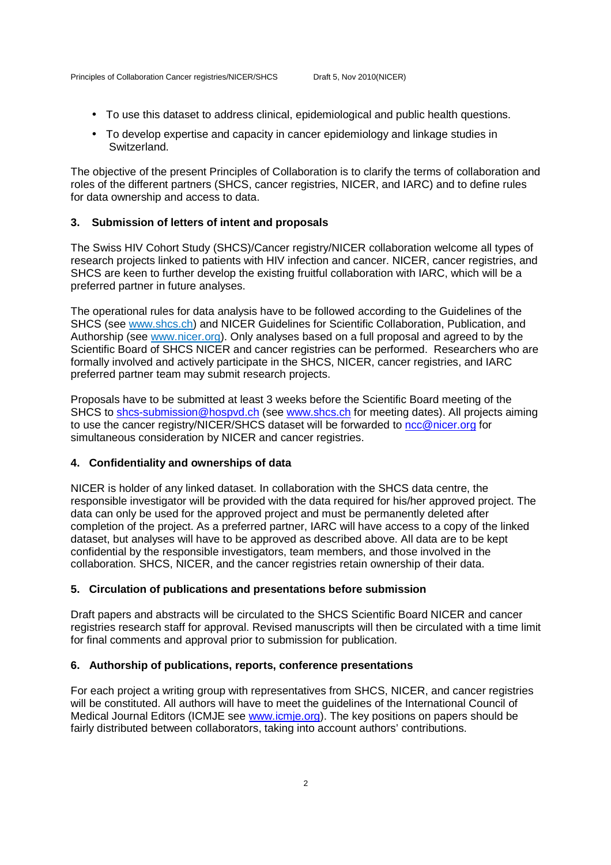- To use this dataset to address clinical, epidemiological and public health questions.
- To develop expertise and capacity in cancer epidemiology and linkage studies in Switzerland.

The objective of the present Principles of Collaboration is to clarify the terms of collaboration and roles of the different partners (SHCS, cancer registries, NICER, and IARC) and to define rules for data ownership and access to data.

## **3. Submission of letters of intent and proposals**

The Swiss HIV Cohort Study (SHCS)/Cancer registry/NICER collaboration welcome all types of research projects linked to patients with HIV infection and cancer. NICER, cancer registries, and SHCS are keen to further develop the existing fruitful collaboration with IARC, which will be a preferred partner in future analyses.

The operational rules for data analysis have to be followed according to the Guidelines of the SHCS (see www.shcs.ch) and NICER Guidelines for Scientific Collaboration, Publication, and Authorship (see www.nicer.org). Only analyses based on a full proposal and agreed to by the Scientific Board of SHCS NICER and cancer registries can be performed. Researchers who are formally involved and actively participate in the SHCS, NICER, cancer registries, and IARC preferred partner team may submit research projects.

Proposals have to be submitted at least 3 weeks before the Scientific Board meeting of the SHCS to shcs-submission@hospvd.ch (see www.shcs.ch for meeting dates). All projects aiming to use the cancer registry/NICER/SHCS dataset will be forwarded to ncc@nicer.org for simultaneous consideration by NICER and cancer registries.

#### **4. Confidentiality and ownerships of data**

NICER is holder of any linked dataset. In collaboration with the SHCS data centre, the responsible investigator will be provided with the data required for his/her approved project. The data can only be used for the approved project and must be permanently deleted after completion of the project. As a preferred partner, IARC will have access to a copy of the linked dataset, but analyses will have to be approved as described above. All data are to be kept confidential by the responsible investigators, team members, and those involved in the collaboration. SHCS, NICER, and the cancer registries retain ownership of their data.

## **5. Circulation of publications and presentations before submission**

Draft papers and abstracts will be circulated to the SHCS Scientific Board NICER and cancer registries research staff for approval. Revised manuscripts will then be circulated with a time limit for final comments and approval prior to submission for publication.

#### **6. Authorship of publications, reports, conference presentations**

For each project a writing group with representatives from SHCS, NICER, and cancer registries will be constituted. All authors will have to meet the guidelines of the International Council of Medical Journal Editors (ICMJE see www.icmje.org). The key positions on papers should be fairly distributed between collaborators, taking into account authors' contributions.